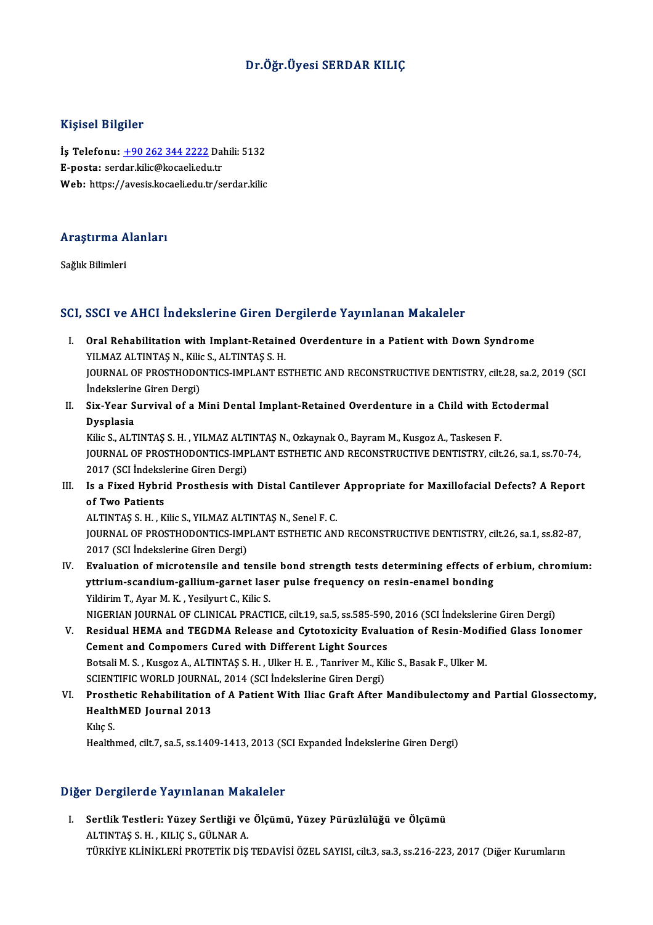### Dr.Öğr.Üyesi SERDAR KILIÇ

### Kişisel Bilgiler

Kişisel Bilgiler<br>İş Telefonu: <u>+90 262 344 2222</u> Dahili: 5132<br>E nasta: sardar kilis@kasasli.edu.tr Inghon Binghon<br>İş Telefonu: <u>+90 262 344 2222</u> Da.<br>E-posta: ser[dar.kilic@kocaeli.edu](tel:+90 262 344 2222).tr E-posta: serdar.kilic@kocaeli.edu.tr<br>Web: https://avesis.kocaeli.edu.tr/serdar.kilic

### .<br>Araştırma Alanları<br>. <mark>Araştırma A</mark><br>Sağlık Bilimleri

## Sağlık Bilimleri<br>SCI, SSCI ve AHCI İndekslerine Giren Dergilerde Yayınlanan Makaleler

- CI, SSCI ve AHCI Indekslerine Giren Dergilerde Yayınlanan Makaleler<br>I. Oral Rehabilitation with Implant-Retained Overdenture in a Patient with Down Syndrome<br>VII MAZ ALTINTAS N. Kilia S. ALTINTAS S. H SOST VOTIMOT INCONSIONING SHOW OF<br>Oral Rehabilitation with Implant-Retaine<br>YILMAZ ALTINTAŞ N., Kilic S., ALTINTAŞ S. H.<br>JOUPMAL OF PROSTHODONIUS JNPLANT ES YILMAZ ALTINTAȘ N., Kilic S., ALTINTAȘ S. H.<br>JOURNAL OF PROSTHODONTICS-IMPLANT ESTHETIC AND RECONSTRUCTIVE DENTISTRY, cilt.28, sa.2, 2019 (SCI İndekslerine Giren Dergi) JOURNAL OF PROSTHODONTICS-IMPLANT ESTHETIC AND RECONSTRUCTIVE DENTISTRY, cilt.28, sa.2, 20<br>Indekslerine Giren Dergi)<br>II. Six-Year Survival of a Mini Dental Implant-Retained Overdenture in a Child with Ectodermal<br>Dysplasia
- İndekslerin<br>Six-Year S<br>Dysplasia<br><sup>Vilie Seat</sub>r</sup> Six-Year Survival of a Mini Dental Implant-Retained Overdenture in a Child with Ec<br>Dysplasia<br>Kilic S., ALTINTAŞ S.H. , YILMAZ ALTINTAŞ N., Ozkaynak O., Bayram M., Kusgoz A., Taskesen F.<br>JOUPMAL OF PROSTHODONTICS JMPLANT ES

Dysplasia<br>Kilic S., ALTINTAŞ S. H. , YILMAZ ALTINTAŞ N., Ozkaynak O., Bayram M., Kusgoz A., Taskesen F.<br>JOURNAL OF PROSTHODONTICS-IMPLANT ESTHETIC AND RECONSTRUCTIVE DENTISTRY, cilt.26, sa.1, ss.70-74, 2017 (SCI İndekslerine Giren Dergi) I I. IS a Fixed Hybrid Prosthesis with Distal Cantilever Appropriate for Maxillofacial Defects? A Report of Two Patients.<br>III. Is a Fixed Hybrid Prosthesis with Distal Cantilever Appropriate for Maxillofacial Defects? A Re

2017 (SCI İndeksle<br>Is a Fixed Hybri<br>of Two Patients<br>ALTINTAS S H K Is a Fixed Hybrid Prosthesis with Distal Cantilever<br>of Two Patients<br>ALTINTAŞ S. H. , Kilic S., YILMAZ ALTINTAŞ N., Senel F. C.<br>JOUPMAL OF PROSTHODONTICS IMPLANT ESTHETIC AN

of Two Patients<br>ALTINTAŞ S. H. , Kilic S., YILMAZ ALTINTAŞ N., Senel F. C.<br>JOURNAL OF PROSTHODONTICS-IMPLANT ESTHETIC AND RECONSTRUCTIVE DENTISTRY, cilt.26, sa.1, ss.82-87,<br>2017 (SCL İndekslerine Giren Dergi) ALTINTAŞ S. H. , Kilic S., YILMAZ ALT<br>JOURNAL OF PROSTHODONTICS-IMP<br>2017 (SCI İndekslerine Giren Dergi)<br>Evaluation of miaratansile and to IOURNAL OF PROSTHODONTICS-IMPLANT ESTHETIC AND RECONSTRUCTIVE DENTISTRY, cilt.26, sa.1, ss.82-87,<br>2017 (SCI İndekslerine Giren Dergi)<br>IV. Evaluation of microtensile and tensile bond strength tests determining effects of er

- 2017 (SCI İndekslerine Giren Dergi)<br>Evaluation of microtensile and tensile bond strength tests determining effects of<br>yttrium-scandium-gallium-garnet laser pulse frequency on resin-enamel bonding<br>Vildinim T. Avar M. K., Ve Evaluation of microtensile and tensil<br>yttrium-scandium-gallium-garnet lase<br>Yildirim T., Ayar M. K. , Yesilyurt C., Kilic S.<br>NICERIAN JOURNAL OF CLINICAL RRACTI Yildirim T., Ayar M. K. , Yesilyurt C., Kilic S.<br>NIGERIAN JOURNAL OF CLINICAL PRACTICE, cilt.19, sa.5, ss.585-590, 2016 (SCI İndekslerine Giren Dergi) Yildirim T., Ayar M. K. , Yesilyurt C., Kilic S.<br>NIGERIAN JOURNAL OF CLINICAL PRACTICE, cilt.19, sa.5, ss.585-590, 2016 (SCI İndekslerine Giren Dergi)<br>V. Residual HEMA and TEGDMA Release and Cytotoxicity Evaluation of Resi
- NIGERIAN JOURNAL OF CLINICAL PRACTICE, cilt.19, sa.5, ss.585-590<br>Residual HEMA and TEGDMA Release and Cytotoxicity Evalue<br>Cement and Compomers Cured with Different Light Sources<br>Retali M.S., Kusses A. ALTINTAS S.H., Hillen Residual HEMA and TEGDMA Release and Cytotoxicity Evaluation of Resin-Modi<br>Cement and Compomers Cured with Different Light Sources<br>Botsali M. S. , Kusgoz A., ALTINTAŞ S. H. , Ulker H. E. , Tanriver M., Kilic S., Basak F., Cement and Compomers Cured with Different Light Sources<br>Botsali M. S. , Kusgoz A., ALTINTAŞ S. H. , Ulker H. E. , Tanriver M., Kil<br>SCIENTIFIC WORLD JOURNAL, 2014 (SCI İndekslerine Giren Dergi)<br>Presthetis Behebilitation of Botsali M. S. , Kusgoz A., ALTINTAŞ S. H. , Ulker H. E. , Tanriver M., Kilic S., Basak F., Ulker M.<br>SCIENTIFIC WORLD JOURNAL, 2014 (SCI İndekslerine Giren Dergi)<br>VI. Prosthetic Rehabilitation of A Patient With Iliac Graft
- SCIENTIFIC WORLD JOURNA<br>Prosthetic Rehabilitation<br>HealthMED Journal 2013<br><sup>Kilis S</sup> Prosth<br>Health<br>Kılıç S.<br>Health HealthMED Journal 2013<br>Kılıç S.<br>Healthmed, cilt.7, sa.5, ss.1409-1413, 2013 (SCI Expanded İndekslerine Giren Dergi)

#### Diğer Dergilerde Yayınlanan Makaleler

Iğer Dergilerde Yayınlanan Makaleler<br>I. Sertlik Testleri: Yüzey Sertliği ve Ölçümü, Yüzey Pürüzlülüğü ve Ölçümü<br>ALTNTAS S.H., KULC S. CÜLNAR A ALTINTAŞ S.H. ,KILIÇ S., GÜLNAR<br>ALTINTAŞ S.H. ,KILIÇ S., GÜLNAR A.<br>TÜRKIYE KI İNİKI ERİ BROTETİK DİS ALTINTAŞ S. H. , KILIÇ S., GÜLNAR A.<br>TÜRKİYE KLİNİKLERİ PROTETİK DİŞ TEDAVİSİ ÖZEL SAYISI, cilt.3, sa.3, ss.216-223, 2017 (Diğer Kurumların